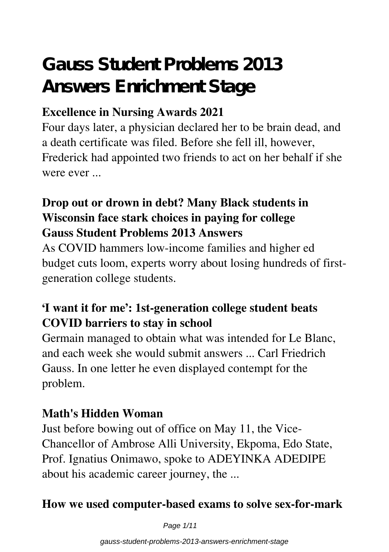# **Gauss Student Problems 2013 Answers Enrichment Stage**

## **Excellence in Nursing Awards 2021**

Four days later, a physician declared her to be brain dead, and a death certificate was filed. Before she fell ill, however, Frederick had appointed two friends to act on her behalf if she were ever ...

## **Drop out or drown in debt? Many Black students in Wisconsin face stark choices in paying for college Gauss Student Problems 2013 Answers**

As COVID hammers low-income families and higher ed budget cuts loom, experts worry about losing hundreds of firstgeneration college students.

## **'I want it for me': 1st-generation college student beats COVID barriers to stay in school**

Germain managed to obtain what was intended for Le Blanc, and each week she would submit answers ... Carl Friedrich Gauss. In one letter he even displayed contempt for the problem.

## **Math's Hidden Woman**

Just before bowing out of office on May 11, the Vice-Chancellor of Ambrose Alli University, Ekpoma, Edo State, Prof. Ignatius Onimawo, spoke to ADEYINKA ADEDIPE about his academic career journey, the ...

## **How we used computer-based exams to solve sex-for-mark**

Page 1/11

gauss-student-problems-2013-answers-enrichment-stage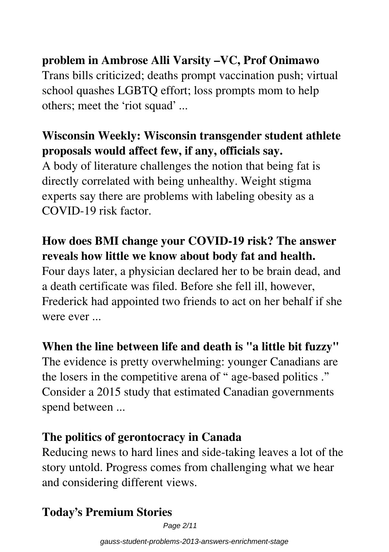## **problem in Ambrose Alli Varsity –VC, Prof Onimawo**

Trans bills criticized; deaths prompt vaccination push; virtual school quashes LGBTQ effort; loss prompts mom to help others; meet the 'riot squad' ...

## **Wisconsin Weekly: Wisconsin transgender student athlete proposals would affect few, if any, officials say.**

A body of literature challenges the notion that being fat is directly correlated with being unhealthy. Weight stigma experts say there are problems with labeling obesity as a COVID-19 risk factor.

## **How does BMI change your COVID-19 risk? The answer reveals how little we know about body fat and health.**

Four days later, a physician declared her to be brain dead, and a death certificate was filed. Before she fell ill, however, Frederick had appointed two friends to act on her behalf if she were ever ...

## **When the line between life and death is "a little bit fuzzy"**

The evidence is pretty overwhelming: younger Canadians are the losers in the competitive arena of " age-based politics ." Consider a 2015 study that estimated Canadian governments spend between ...

## **The politics of gerontocracy in Canada**

Reducing news to hard lines and side-taking leaves a lot of the story untold. Progress comes from challenging what we hear and considering different views.

## **Today's Premium Stories**

Page 2/11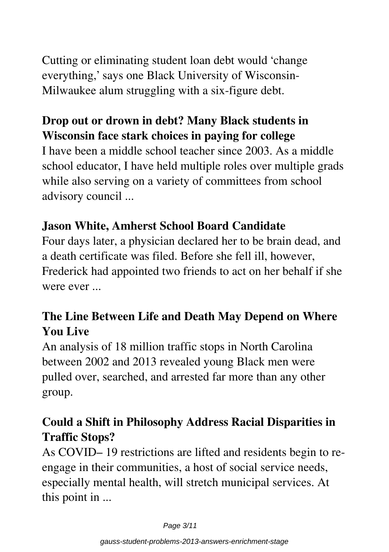Cutting or eliminating student loan debt would 'change everything,' says one Black University of Wisconsin-Milwaukee alum struggling with a six-figure debt.

## **Drop out or drown in debt? Many Black students in Wisconsin face stark choices in paying for college**

I have been a middle school teacher since 2003. As a middle school educator, I have held multiple roles over multiple grads while also serving on a variety of committees from school advisory council ...

## **Jason White, Amherst School Board Candidate**

Four days later, a physician declared her to be brain dead, and a death certificate was filed. Before she fell ill, however, Frederick had appointed two friends to act on her behalf if she were ever

## **The Line Between Life and Death May Depend on Where You Live**

An analysis of 18 million traffic stops in North Carolina between 2002 and 2013 revealed young Black men were pulled over, searched, and arrested far more than any other group.

## **Could a Shift in Philosophy Address Racial Disparities in Traffic Stops?**

As COVID– 19 restrictions are lifted and residents begin to reengage in their communities, a host of social service needs, especially mental health, will stretch municipal services. At this point in ...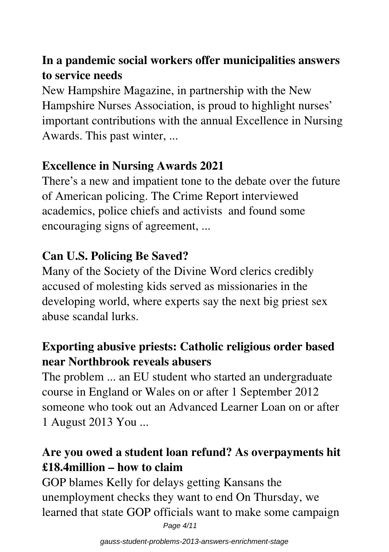## **In a pandemic social workers offer municipalities answers to service needs**

New Hampshire Magazine, in partnership with the New Hampshire Nurses Association, is proud to highlight nurses' important contributions with the annual Excellence in Nursing Awards. This past winter, ...

## **Excellence in Nursing Awards 2021**

There's a new and impatient tone to the debate over the future of American policing. The Crime Report interviewed academics, police chiefs and activists and found some encouraging signs of agreement, ...

## **Can U.S. Policing Be Saved?**

Many of the Society of the Divine Word clerics credibly accused of molesting kids served as missionaries in the developing world, where experts say the next big priest sex abuse scandal lurks.

## **Exporting abusive priests: Catholic religious order based near Northbrook reveals abusers**

The problem ... an EU student who started an undergraduate course in England or Wales on or after 1 September 2012 someone who took out an Advanced Learner Loan on or after 1 August 2013 You ...

## **Are you owed a student loan refund? As overpayments hit £18.4million – how to claim**

GOP blames Kelly for delays getting Kansans the unemployment checks they want to end On Thursday, we learned that state GOP officials want to make some campaign Page 4/11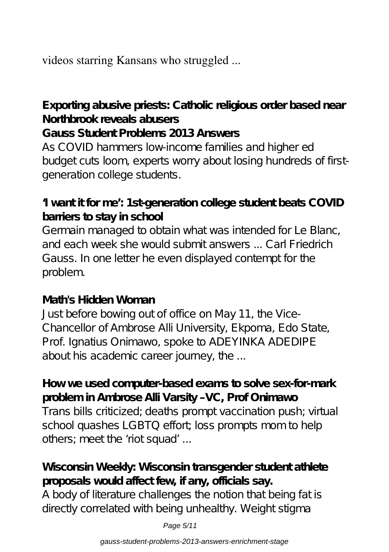videos starring Kansans who struggled ...

**Exporting abusive priests: Catholic religious order based near Northbrook reveals abusers**

#### **Gauss Student Problems 2013 Answers**

As COVID hammers low-income families and higher ed budget cuts loom, experts worry about losing hundreds of firstgeneration college students.

## **'I want it for me': 1st-generation college student beats COVID barriers to stay in school**

Germain managed to obtain what was intended for Le Blanc, and each week she would submit answers ... Carl Friedrich Gauss. In one letter he even displayed contempt for the problem.

#### **Math's Hidden Woman**

Just before bowing out of office on May 11, the Vice-Chancellor of Ambrose Alli University, Ekpoma, Edo State, Prof. Ignatius Onimawo, spoke to ADEYINKA ADEDIPE about his academic career journey, the ...

**How we used computer-based exams to solve sex-for-mark problem in Ambrose Alli Varsity –VC, Prof Onimawo** Trans bills criticized; deaths prompt vaccination push; virtual school quashes LGBTQ effort loss prompts mom to help others; meet the 'riot squad' ...

## **Wisconsin Weekly: Wisconsin transgender student athlete proposals would affect few, if any, officials say.**

A body of literature challenges the notion that being fat is directly correlated with being unhealthy. Weight stigma

Page 5/11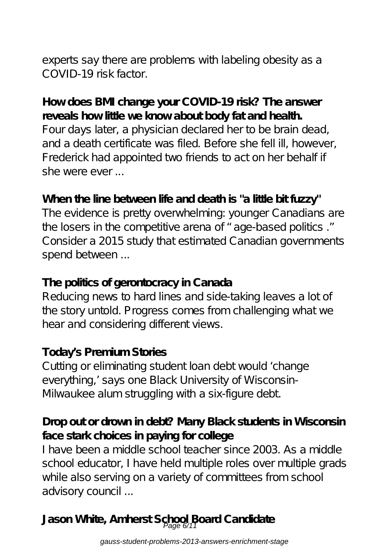experts say there are problems with labeling obesity as a COVID-19 risk factor.

#### **How does BMI change your COVID-19 risk? The answer reveals how little we know about body fat and health.**

Four days later, a physician declared her to be brain dead, and a death certificate was filed. Before she fell ill, however, Frederick had appointed two friends to act on her behalf if she were ever ...

### When the line between life and death is "a little bit fuzzy"

The evidence is pretty overwhelming: younger Canadians are the losers in the competitive arena of " age-based politics ." Consider a 2015 study that estimated Canadian governments spend between ...

#### **The politics of gerontocracy in Canada**

Reducing news to hard lines and side-taking leaves a lot of the story untold. Progress comes from challenging what we hear and considering different views.

#### **Today's Premium Stories**

Cutting or eliminating student loan debt would 'change everything,' says one Black University of Wisconsin-Milwaukee alum struggling with a six-figure debt.

### **Drop out or drown in debt? Many Black students in Wisconsin face stark choices in paying for college**

I have been a middle school teacher since 2003. As a middle school educator, I have held multiple roles over multiple grads while also serving on a variety of committees from school advisory council ...

Jason White, Amherst School Board Candidate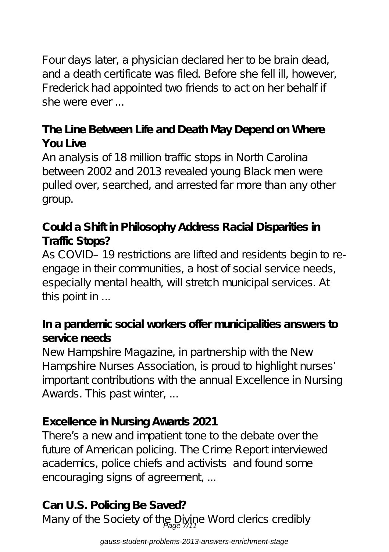Four days later, a physician declared her to be brain dead, and a death certificate was filed. Before she fell ill, however, Frederick had appointed two friends to act on her behalf if she were ever ...

## **The Line Between Life and Death May Depend on Where You Live**

An analysis of 18 million traffic stops in North Carolina between 2002 and 2013 revealed young Black men were pulled over, searched, and arrested far more than any other group.

## **Could a Shift in Philosophy Address Racial Disparities in Traffic Stops?**

As COVID– 19 restrictions are lifted and residents begin to reengage in their communities, a host of social service needs, especially mental health, will stretch municipal services. At this point in ...

### **In a pandemic social workers offer municipalities answers to service needs**

New Hampshire Magazine, in partnership with the New Hampshire Nurses Association, is proud to highlight nurses' important contributions with the annual Excellence in Nursing Awards. This past winter, ...

#### **Excellence in Nursing Awards 2021**

There's a new and impatient tone to the debate over the future of American policing. The Crime Report interviewed academics, police chiefs and activists and found some encouraging signs of agreement, ...

## **Can U.S. Policing Be Saved?**

Many of the Society of the Divine Word clerics credibly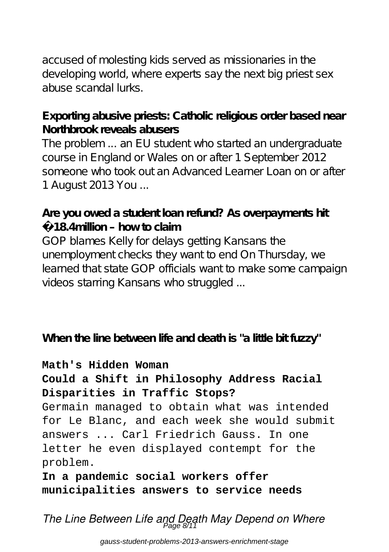accused of molesting kids served as missionaries in the developing world, where experts say the next big priest sex abuse scandal lurks.

#### **Exporting abusive priests: Catholic religious order based near Northbrook reveals abusers**

The problem ... an EU student who started an undergraduate course in England or Wales on or after 1 September 2012 someone who took out an Advanced Learner Loan on or after 1 August 2013 You ...

#### **Are you owed a student loan refund? As overpayments hit £18.4million – how to claim**

GOP blames Kelly for delays getting Kansans the unemployment checks they want to end On Thursday, we learned that state GOP officials want to make some campaign videos starring Kansans who struggled ...

**When the line between life and death is "a little bit fuzzy"**

#### **Math's Hidden Woman**

#### **Could a Shift in Philosophy Address Racial Disparities in Traffic Stops?**

Germain managed to obtain what was intended for Le Blanc, and each week she would submit answers ... Carl Friedrich Gauss. In one letter he even displayed contempt for the problem.

**In a pandemic social workers offer municipalities answers to service needs**

*The Line Between Life and Death May Depend on Where* Page 8/11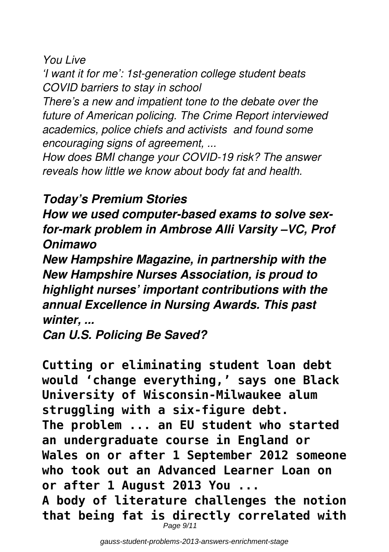*You Live*

*'I want it for me': 1st-generation college student beats COVID barriers to stay in school*

*There's a new and impatient tone to the debate over the future of American policing. The Crime Report interviewed academics, police chiefs and activists and found some encouraging signs of agreement, ...*

*How does BMI change your COVID-19 risk? The answer reveals how little we know about body fat and health.*

## *Today's Premium Stories*

*How we used computer-based exams to solve sexfor-mark problem in Ambrose Alli Varsity –VC, Prof Onimawo*

*New Hampshire Magazine, in partnership with the New Hampshire Nurses Association, is proud to highlight nurses' important contributions with the annual Excellence in Nursing Awards. This past winter, ...*

*Can U.S. Policing Be Saved?*

**Cutting or eliminating student loan debt would 'change everything,' says one Black University of Wisconsin-Milwaukee alum struggling with a six-figure debt. The problem ... an EU student who started an undergraduate course in England or Wales on or after 1 September 2012 someone who took out an Advanced Learner Loan on or after 1 August 2013 You ... A body of literature challenges the notion that being fat is directly correlated with** Page 9/11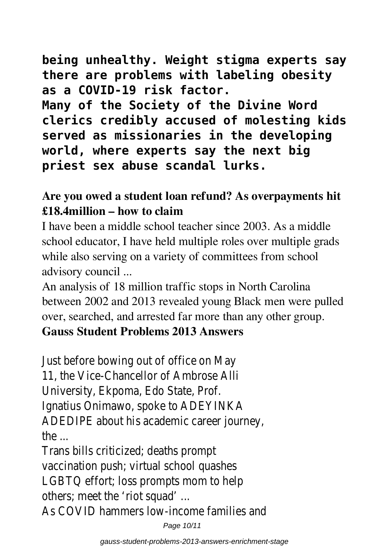**being unhealthy. Weight stigma experts say there are problems with labeling obesity as a COVID-19 risk factor.**

**Many of the Society of the Divine Word clerics credibly accused of molesting kids served as missionaries in the developing world, where experts say the next big priest sex abuse scandal lurks.**

## **Are you owed a student loan refund? As overpayments hit £18.4million – how to claim**

I have been a middle school teacher since 2003. As a middle school educator, I have held multiple roles over multiple grads while also serving on a variety of committees from school advisory council ...

An analysis of 18 million traffic stops in North Carolina between 2002 and 2013 revealed young Black men were pulled over, searched, and arrested far more than any other group.

## **Gauss Student Problems 2013 Answers**

Just before bowing out of office on May 11, the Vice-Chancellor of Ambrose Alli University, Ekpoma, Edo State, Prof. Ignatius Onimawo, spoke to ADEYINKA ADEDIPE about his academic career journey,  $the$ 

Trans bills criticized; deaths prompt vaccination push; virtual school quashes LGBTQ effort; loss prompts mom to help others; meet the 'riot squad' ... As COVID hammers low-income families and

Page 10/11